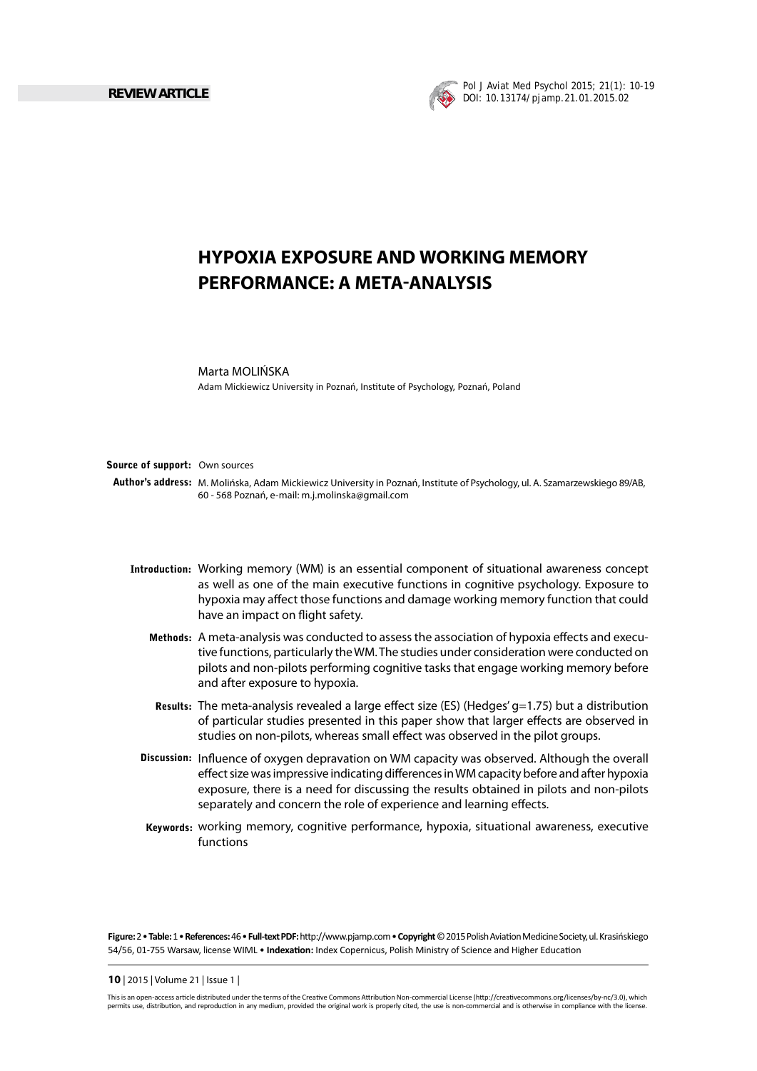

# **HYPOXIA EXPOSURE AND WORKING MEMORY PERFORMANCE: A META-ANALYSIS**

### Marta MOLIŃSKA

Adam Mickiewicz University in Poznań, Institute of Psychology, Poznań, Poland

### **Source of support:** Own sources

**Author's address:** M. Molińska, Adam Mickiewicz University in Poznań, Institute of Psychology, ul. A. Szamarzewskiego 89/AB, 60 - 568 Poznań, e-mail: m.j.molinska@gmail.com

- **Introduction:** Working memory (WM) is an essential component of situational awareness concept as well as one of the main executive functions in cognitive psychology. Exposure to hypoxia may affect those functions and damage working memory function that could have an impact on flight safety.
	- Methods: A meta-analysis was conducted to assess the association of hypoxia effects and executive functions, particularly the WM. The studies under consideration were conducted on pilots and non-pilots performing cognitive tasks that engage working memory before and after exposure to hypoxia.
	- Results: The meta-analysis revealed a large effect size (ES) (Hedges' g=1.75) but a distribution of particular studies presented in this paper show that larger effects are observed in studies on non-pilots, whereas small effect was observed in the pilot groups.
	- **Discussion:** Influence of oxygen depravation on WM capacity was observed. Although the overall effect size was impressive indicating differences in WM capacity before and after hypoxia exposure, there is a need for discussing the results obtained in pilots and non-pilots separately and concern the role of experience and learning effects.
	- Keywords: working memory, cognitive performance, hypoxia, situational awareness, executive functions

**Figure:** 2 • **Table:** 1 • **References:** 46 • **Full-text PDF:** hƩ p://www.pjamp.com • **Copyright** © 2015 Polish AviaƟ on Medicine Society, ul. Krasińskiego 54/56, 01-755 Warsaw, license WIML • Indexation: Index Copernicus, Polish Ministry of Science and Higher Education

#### **10** | 2015 | Volume 21 | Issue 1 |

This is an open-access article distributed under the terms of the Creative Commons Attribution Non-commercial License (http://creativecommons.org/licenses/by-nc/3.0), which permits use, distribution, and reproduction in any medium, provided the original work is properly cited, the use is non-commercial and is otherwise in compliance with the license.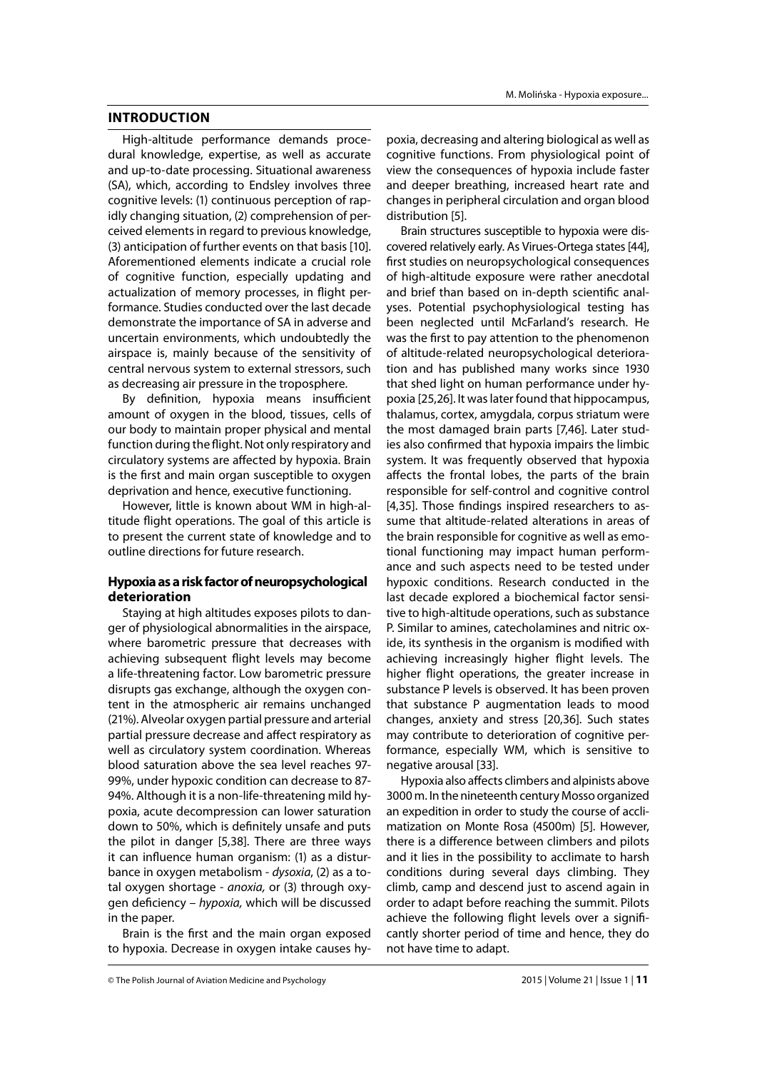# **INTRODUCTION**

High-altitude performance demands procedural knowledge, expertise, as well as accurate and up-to-date processing. Situational awareness (SA), which, according to Endsley involves three cognitive levels: (1) continuous perception of rapidly changing situation, (2) comprehension of perceived elements in regard to previous knowledge, (3) anticipation of further events on that basis [10]. Aforementioned elements indicate a crucial role of cognitive function, especially updating and actualization of memory processes, in flight performance. Studies conducted over the last decade demonstrate the importance of SA in adverse and uncertain environments, which undoubtedly the airspace is, mainly because of the sensitivity of central nervous system to external stressors, such as decreasing air pressure in the troposphere.

By definition, hypoxia means insufficient amount of oxygen in the blood, tissues, cells of our body to maintain proper physical and mental function during the flight. Not only respiratory and circulatory systems are affected by hypoxia. Brain is the first and main organ susceptible to oxygen deprivation and hence, executive functioning.

However, little is known about WM in high-altitude flight operations. The goal of this article is to present the current state of knowledge and to outline directions for future research.

# **Hypoxia as a risk factor of neuropsychological deterioration**

Staying at high altitudes exposes pilots to danger of physiological abnormalities in the airspace, where barometric pressure that decreases with achieving subsequent flight levels may become a life-threatening factor. Low barometric pressure disrupts gas exchange, although the oxygen content in the atmospheric air remains unchanged (21%). Alveolar oxygen partial pressure and arterial partial pressure decrease and affect respiratory as well as circulatory system coordination. Whereas blood saturation above the sea level reaches 97- 99%, under hypoxic condition can decrease to 87- 94%. Although it is a non-life-threatening mild hypoxia, acute decompression can lower saturation down to 50%, which is definitely unsafe and puts the pilot in danger [5,38]. There are three ways it can influence human organism: (1) as a disturbance in oxygen metabolism - *dysoxia*, (2) as a total oxygen shortage - *anoxia,* or (3) through oxygen defi ciency – *hypoxia,* which will be discussed in the paper.

Brain is the first and the main organ exposed to hypoxia. Decrease in oxygen intake causes hypoxia, decreasing and altering biological as well as cognitive functions. From physiological point of view the consequences of hypoxia include faster and deeper breathing, increased heart rate and changes in peripheral circulation and organ blood distribution [5].

Brain structures susceptible to hypoxia were discovered relatively early. As Virues-Ortega states [44], first studies on neuropsychological consequences of high-altitude exposure were rather anecdotal and brief than based on in-depth scientific analyses. Potential psychophysiological testing has been neglected until McFarland's research. He was the first to pay attention to the phenomenon of altitude-related neuropsychological deterioration and has published many works since 1930 that shed light on human performance under hypoxia [25,26]. It was later found that hippocampus, thalamus, cortex, amygdala, corpus striatum were the most damaged brain parts [7,46]. Later studies also confirmed that hypoxia impairs the limbic system. It was frequently observed that hypoxia affects the frontal lobes, the parts of the brain responsible for self-control and cognitive control [4,35]. Those findings inspired researchers to assume that altitude-related alterations in areas of the brain responsible for cognitive as well as emotional functioning may impact human performance and such aspects need to be tested under hypoxic conditions. Research conducted in the last decade explored a biochemical factor sensitive to high-altitude operations, such as substance P. Similar to amines, catecholamines and nitric oxide, its synthesis in the organism is modified with achieving increasingly higher flight levels. The higher flight operations, the greater increase in substance P levels is observed. It has been proven that substance P augmentation leads to mood changes, anxiety and stress [20,36]. Such states may contribute to deterioration of cognitive performance, especially WM, which is sensitive to negative arousal [33].

Hypoxia also affects climbers and alpinists above 3000 m. In the nineteenth century Mosso organized an expedition in order to study the course of acclimatization on Monte Rosa (4500m) [5]. However, there is a difference between climbers and pilots and it lies in the possibility to acclimate to harsh conditions during several days climbing. They climb, camp and descend just to ascend again in order to adapt before reaching the summit. Pilots achieve the following flight levels over a significantly shorter period of time and hence, they do not have time to adapt.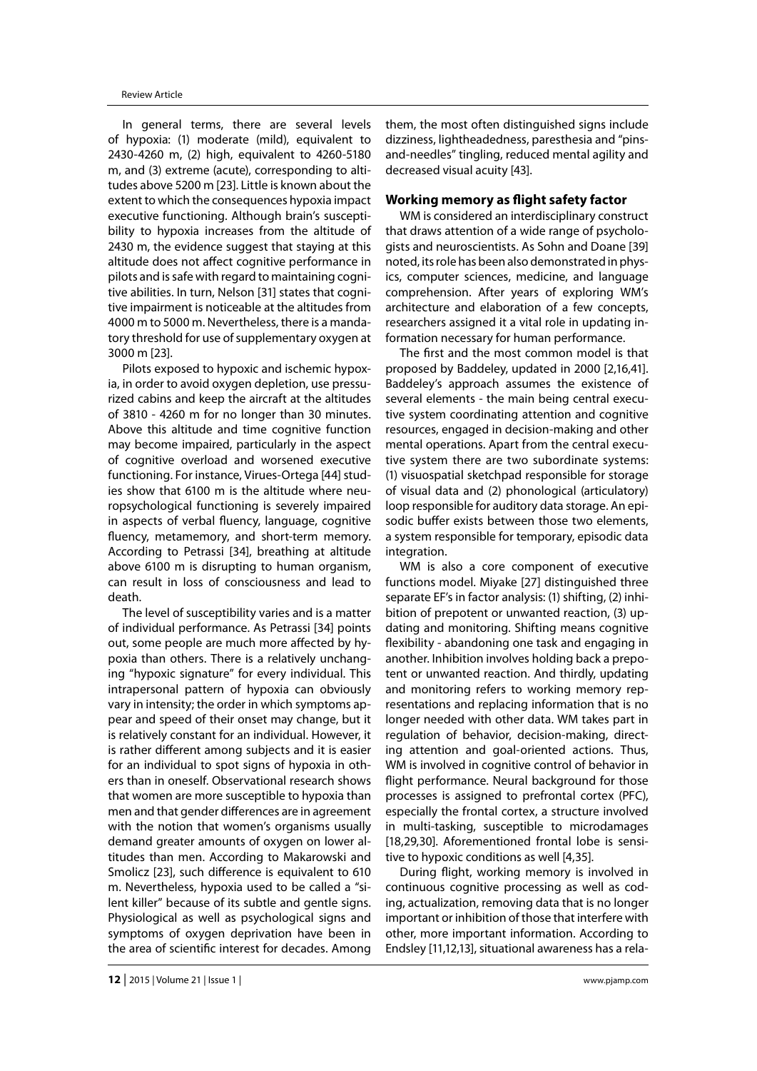In general terms, there are several levels of hypoxia: (1) moderate (mild), equivalent to 2430-4260 m, (2) high, equivalent to 4260-5180 m, and (3) extreme (acute), corresponding to altitudes above 5200 m [23]. Little is known about the extent to which the consequences hypoxia impact executive functioning. Although brain's susceptibility to hypoxia increases from the altitude of 2430 m, the evidence suggest that staying at this altitude does not affect cognitive performance in pilots and is safe with regard to maintaining cognitive abilities. In turn, Nelson [31] states that cognitive impairment is noticeable at the altitudes from 4000 m to 5000 m. Nevertheless, there is a mandatory threshold for use of supplementary oxygen at 3000 m [23].

Pilots exposed to hypoxic and ischemic hypoxia, in order to avoid oxygen depletion, use pressurized cabins and keep the aircraft at the altitudes of 3810 - 4260 m for no longer than 30 minutes. Above this altitude and time cognitive function may become impaired, particularly in the aspect of cognitive overload and worsened executive functioning. For instance, Virues-Ortega [44] studies show that 6100 m is the altitude where neuropsychological functioning is severely impaired in aspects of verbal fluency, language, cognitive fluency, metamemory, and short-term memory. According to Petrassi [34], breathing at altitude above 6100 m is disrupting to human organism, can result in loss of consciousness and lead to death.

The level of susceptibility varies and is a matter of individual performance. As Petrassi [34] points out, some people are much more affected by hypoxia than others. There is a relatively unchanging "hypoxic signature" for every individual. This intrapersonal pattern of hypoxia can obviously vary in intensity; the order in which symptoms appear and speed of their onset may change, but it is relatively constant for an individual. However, it is rather different among subjects and it is easier for an individual to spot signs of hypoxia in others than in oneself. Observational research shows that women are more susceptible to hypoxia than men and that gender differences are in agreement with the notion that women's organisms usually demand greater amounts of oxygen on lower altitudes than men. According to Makarowski and Smolicz [23], such difference is equivalent to 610 m. Nevertheless, hypoxia used to be called a "silent killer" because of its subtle and gentle signs. Physiological as well as psychological signs and symptoms of oxygen deprivation have been in the area of scientific interest for decades. Among

them, the most often distinguished signs include dizziness, lightheadedness, paresthesia and "pinsand-needles" tingling, reduced mental agility and decreased visual acuity [43].

# **Working memory as flight safety factor**

WM is considered an interdisciplinary construct that draws attention of a wide range of psychologists and neuroscientists. As Sohn and Doane [39] noted, its role has been also demonstrated in physics, computer sciences, medicine, and language comprehension. After years of exploring WM's architecture and elaboration of a few concepts, researchers assigned it a vital role in updating information necessary for human performance.

The first and the most common model is that proposed by Baddeley, updated in 2000 [2,16,41]. Baddeley's approach assumes the existence of several elements - the main being central executive system coordinating attention and cognitive resources, engaged in decision-making and other mental operations. Apart from the central executive system there are two subordinate systems: (1) visuospatial sketchpad responsible for storage of visual data and (2) phonological (articulatory) loop responsible for auditory data storage. An episodic buffer exists between those two elements, a system responsible for temporary, episodic data integration.

WM is also a core component of executive functions model. Miyake [27] distinguished three separate EF's in factor analysis: (1) shifting, (2) inhibition of prepotent or unwanted reaction, (3) updating and monitoring. Shifting means cognitive flexibility - abandoning one task and engaging in another. Inhibition involves holding back a prepotent or unwanted reaction. And thirdly, updating and monitoring refers to working memory representations and replacing information that is no longer needed with other data. WM takes part in regulation of behavior, decision-making, directing attention and goal-oriented actions. Thus, WM is involved in cognitive control of behavior in flight performance. Neural background for those processes is assigned to prefrontal cortex (PFC), especially the frontal cortex, a structure involved in multi-tasking, susceptible to microdamages [18,29,30]. Aforementioned frontal lobe is sensitive to hypoxic conditions as well [4,35].

During flight, working memory is involved in continuous cognitive processing as well as coding, actualization, removing data that is no longer important or inhibition of those that interfere with other, more important information. According to Endsley [11,12,13], situational awareness has a rela-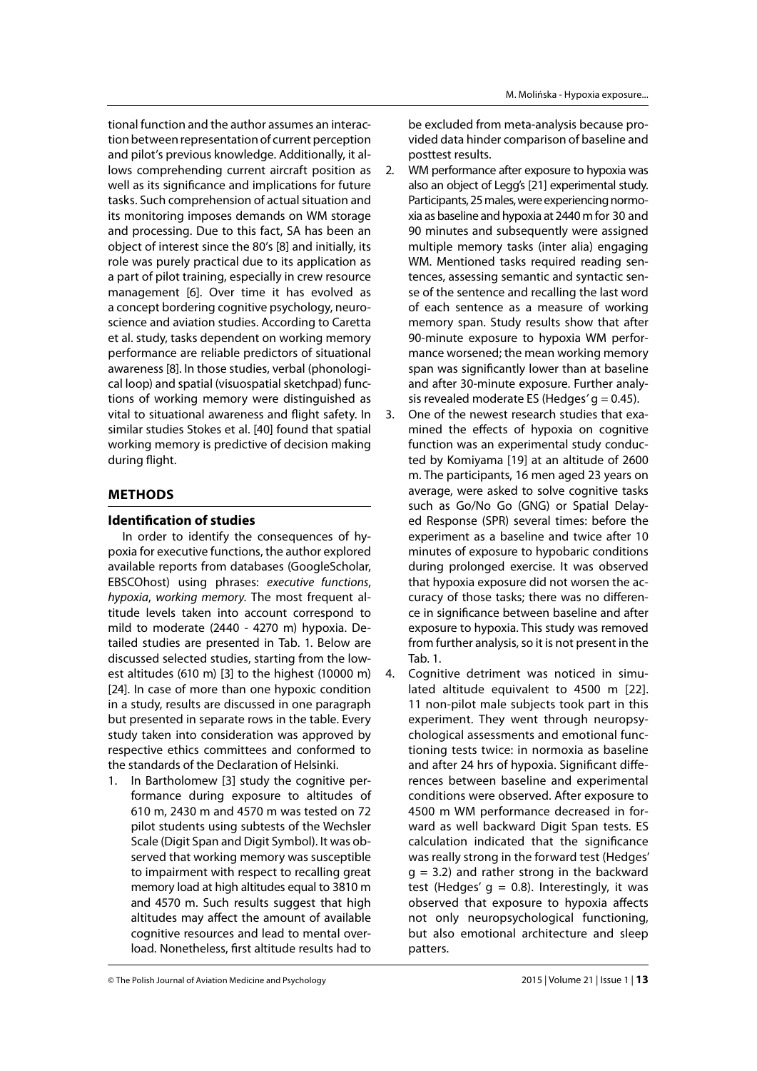tional function and the author assumes an interaction between representation of current perception and pilot's previous knowledge. Additionally, it allows comprehending current aircraft position as well as its significance and implications for future tasks. Such comprehension of actual situation and its monitoring imposes demands on WM storage and processing. Due to this fact, SA has been an object of interest since the 80's [8] and initially, its role was purely practical due to its application as a part of pilot training, especially in crew resource management [6]. Over time it has evolved as a concept bordering cognitive psychology, neuroscience and aviation studies. According to Caretta et al. study, tasks dependent on working memory performance are reliable predictors of situational awareness [8]. In those studies, verbal (phonological loop) and spatial (visuospatial sketchpad) functions of working memory were distinguished as vital to situational awareness and flight safety. In similar studies Stokes et al. [40] found that spatial working memory is predictive of decision making during flight.

# **METHODS**

# **Identification of studies**

In order to identify the consequences of hypoxia for executive functions, the author explored available reports from databases (GoogleScholar, EBSCOhost) using phrases: *executive functions*, *hypoxia*, *working memory*. The most frequent altitude levels taken into account correspond to mild to moderate (2440 - 4270 m) hypoxia. Detailed studies are presented in Tab. 1. Below are discussed selected studies, starting from the lowest altitudes (610 m) [3] to the highest (10000 m) [24]. In case of more than one hypoxic condition in a study, results are discussed in one paragraph but presented in separate rows in the table. Every study taken into consideration was approved by respective ethics committees and conformed to the standards of the Declaration of Helsinki.

1. In Bartholomew [3] study the cognitive performance during exposure to altitudes of 610 m, 2430 m and 4570 m was tested on 72 pilot students using subtests of the Wechsler Scale (Digit Span and Digit Symbol). It was observed that working memory was susceptible to impairment with respect to recalling great memory load at high altitudes equal to 3810 m and 4570 m. Such results suggest that high altitudes may affect the amount of available cognitive resources and lead to mental overload. Nonetheless, first altitude results had to

be excluded from meta-analysis because provided data hinder comparison of baseline and posttest results.

- 2. WM performance after exposure to hypoxia was also an object of Legg's [21] experimental study. Participants, 25 males, were experiencing normoxia as baseline and hypoxia at 2440 m for 30 and 90 minutes and subsequently were assigned multiple memory tasks (inter alia) engaging WM. Mentioned tasks required reading sentences, assessing semantic and syntactic sense of the sentence and recalling the last word of each sentence as a measure of working memory span. Study results show that after 90-minute exposure to hypoxia WM performance worsened; the mean working memory span was significantly lower than at baseline and after 30-minute exposure. Further analysis revealed moderate ES (Hedges*'* g = 0.45).
- 3. One of the newest research studies that examined the effects of hypoxia on cognitive function was an experimental study conducted by Komiyama [19] at an altitude of 2600 m. The participants, 16 men aged 23 years on average, were asked to solve cognitive tasks such as Go/No Go (GNG) or Spatial Delayed Response (SPR) several times: before the experiment as a baseline and twice after 10 minutes of exposure to hypobaric conditions during prolonged exercise. It was observed that hypoxia exposure did not worsen the accuracy of those tasks; there was no difference in significance between baseline and after exposure to hypoxia. This study was removed from further analysis, so it is not present in the Tab. 1.
- 4. Cognitive detriment was noticed in simulated altitude equivalent to 4500 m [22]. 11 non-pilot male subjects took part in this experiment. They went through neuropsychological assessments and emotional functioning tests twice: in normoxia as baseline and after 24 hrs of hypoxia. Significant differences between baseline and experimental conditions were observed. After exposure to 4500 m WM performance decreased in forward as well backward Digit Span tests. ES calculation indicated that the significance was really strong in the forward test (Hedges'  $g = 3.2$ ) and rather strong in the backward test (Hedges'  $q = 0.8$ ). Interestingly, it was observed that exposure to hypoxia affects not only neuropsychological functioning, but also emotional architecture and sleep patters.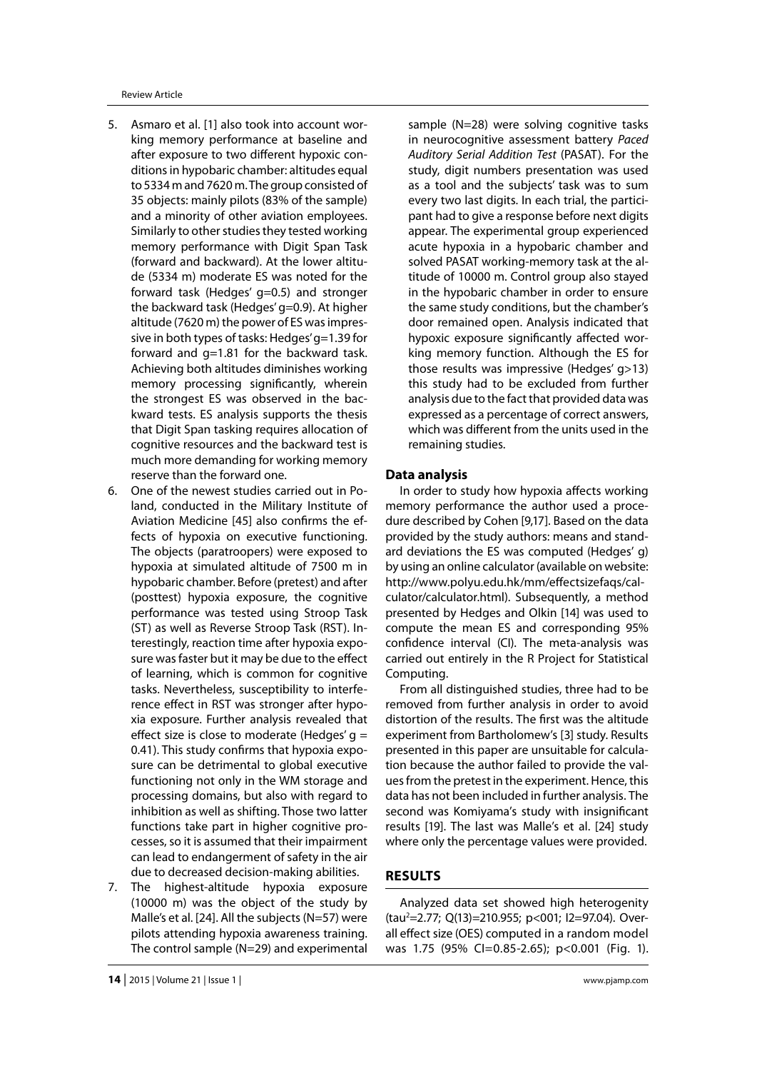Review Article

- 5. Asmaro et al. [1] also took into account working memory performance at baseline and after exposure to two different hypoxic conditions in hypobaric chamber: altitudes equal to 5334 m and 7620 m. The group consisted of 35 objects: mainly pilots (83% of the sample) and a minority of other aviation employees. Similarly to other studies they tested working memory performance with Digit Span Task (forward and backward). At the lower altitude (5334 m) moderate ES was noted for the forward task (Hedges' g=0.5) and stronger the backward task (Hedges' g=0.9). At higher altitude (7620 m) the power of ES was impressive in both types of tasks: Hedges' g=1.39 for forward and g=1.81 for the backward task. Achieving both altitudes diminishes working memory processing significantly, wherein the strongest ES was observed in the backward tests. ES analysis supports the thesis that Digit Span tasking requires allocation of cognitive resources and the backward test is much more demanding for working memory reserve than the forward one.
- 6. One of the newest studies carried out in Poland, conducted in the Military Institute of Aviation Medicine [45] also confirms the effects of hypoxia on executive functioning. The objects (paratroopers) were exposed to hypoxia at simulated altitude of 7500 m in hypobaric chamber. Before (pretest) and after (posttest) hypoxia exposure, the cognitive performance was tested using Stroop Task (ST) as well as Reverse Stroop Task (RST). Interestingly, reaction time after hypoxia exposure was faster but it may be due to the effect of learning, which is common for cognitive tasks. Nevertheless, susceptibility to interference effect in RST was stronger after hypoxia exposure. Further analysis revealed that effect size is close to moderate (Hedges'  $q =$ 0.41). This study confirms that hypoxia exposure can be detrimental to global executive functioning not only in the WM storage and processing domains, but also with regard to inhibition as well as shifting. Those two latter functions take part in higher cognitive processes, so it is assumed that their impairment can lead to endangerment of safety in the air due to decreased decision-making abilities.
- 7. The highest-altitude hypoxia exposure (10000 m) was the object of the study by Malle's et al. [24]. All the subjects (N=57) were pilots attending hypoxia awareness training. The control sample (N=29) and experimental

sample (N=28) were solving cognitive tasks in neurocognitive assessment battery *Paced Auditory Serial Addition Test* (PASAT). For the study, digit numbers presentation was used as a tool and the subjects' task was to sum every two last digits. In each trial, the participant had to give a response before next digits appear. The experimental group experienced acute hypoxia in a hypobaric chamber and solved PASAT working-memory task at the altitude of 10000 m. Control group also stayed in the hypobaric chamber in order to ensure the same study conditions, but the chamber's door remained open. Analysis indicated that hypoxic exposure significantly affected working memory function. Although the ES for those results was impressive (Hedges' g>13) this study had to be excluded from further analysis due to the fact that provided data was expressed as a percentage of correct answers, which was different from the units used in the remaining studies.

## **Data analysis**

In order to study how hypoxia affects working memory performance the author used a procedure described by Cohen [9,17]. Based on the data provided by the study authors: means and standard deviations the ES was computed (Hedges' g) by using an online calculator (available on website: http://www.polyu.edu.hk/mm/effectsizefaqs/calculator/calculator.html). Subsequently, a method presented by Hedges and Olkin [14] was used to compute the mean ES and corresponding 95% confidence interval (CI). The meta-analysis was carried out entirely in the R Project for Statistical Computing.

From all distinguished studies, three had to be removed from further analysis in order to avoid distortion of the results. The first was the altitude experiment from Bartholomew's [3] study. Results presented in this paper are unsuitable for calculation because the author failed to provide the values from the pretest in the experiment. Hence, this data has not been included in further analysis. The second was Komiyama's study with insignificant results [19]. The last was Malle's et al. [24] study where only the percentage values were provided.

# **RESULTS**

Analyzed data set showed high heterogenity (tau<sup>2</sup>=2.77; Q(13)=210.955; p<001; I2=97.04). Overall effect size (OES) computed in a random model was 1.75 (95% CI=0.85-2.65); p<0.001 (Fig. 1).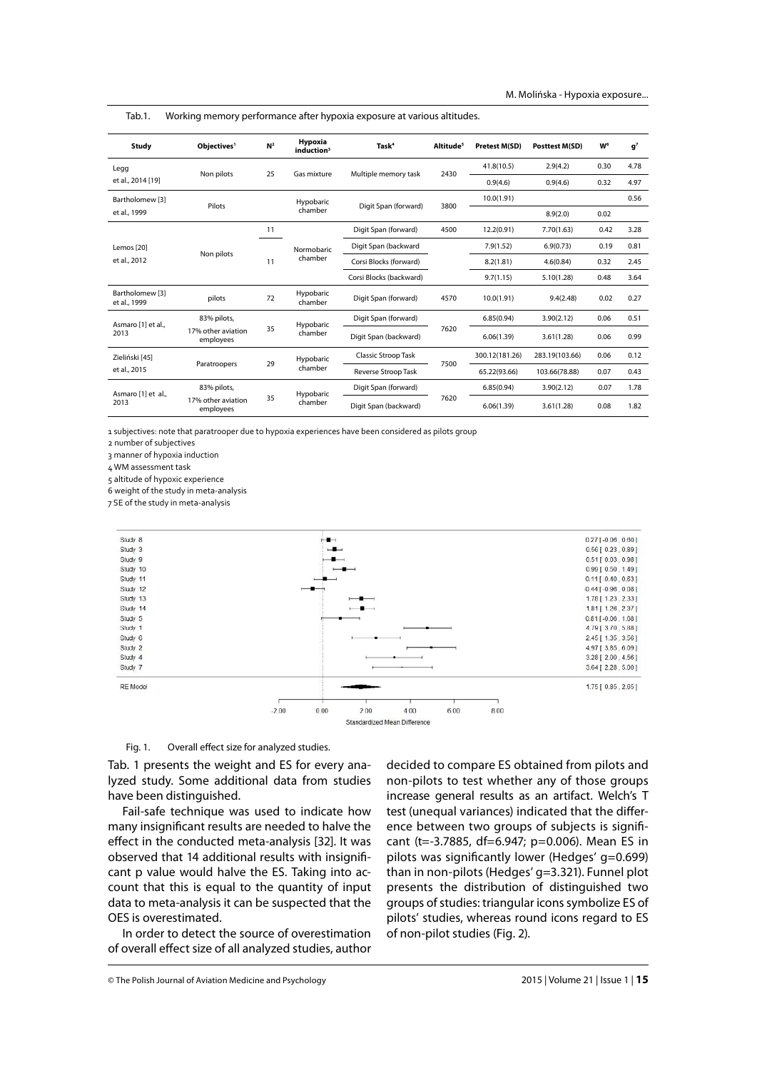| Study                           | Obiectives <sup>1</sup>         | N <sup>2</sup> | Hypoxia<br>induction <sup>3</sup> | Task <sup>4</sup>          | Altitude <sup>5</sup> | <b>Pretest M(SD)</b> | <b>Posttest M(SD)</b> | W <sup>6</sup> | g <sup>7</sup> |
|---------------------------------|---------------------------------|----------------|-----------------------------------|----------------------------|-----------------------|----------------------|-----------------------|----------------|----------------|
| Legg<br>et al., 2014 [19]       | Non pilots                      | 25             | Gas mixture                       | Multiple memory task       | 2430                  | 41.8(10.5)           | 2.9(4.2)              | 0.30           | 4.78           |
|                                 |                                 |                |                                   |                            |                       | 0.9(4.6)             | 0.9(4.6)              | 0.32           | 4.97           |
| Bartholomew [3]<br>et al., 1999 | Pilots                          |                | Hypobaric<br>chamber              | Digit Span (forward)       | 3800                  | 10.0(1.91)           |                       |                | 0.56           |
|                                 |                                 |                |                                   |                            |                       |                      | 8.9(2.0)              | 0.02           |                |
| Lemos [20]<br>et al., 2012      | Non pilots                      | 11             | Normobaric<br>chamber             | Digit Span (forward)       | 4500                  | 12.2(0.91)           | 7.70(1.63)            | 0.42           | 3.28           |
|                                 |                                 | 11             |                                   | Digit Span (backward       |                       | 7.9(1.52)            | 6.9(0.73)             | 0.19           | 0.81           |
|                                 |                                 |                |                                   | Corsi Blocks (forward)     |                       | 8.2(1.81)            | 4.6(0.84)             | 0.32           | 2.45           |
|                                 |                                 |                |                                   | Corsi Blocks (backward)    |                       | 9.7(1.15)            | 5.10(1.28)            | 0.48           | 3.64           |
| Bartholomew [3]<br>et al., 1999 | pilots                          | 72             | Hypobaric<br>chamber              | Digit Span (forward)       | 4570                  | 10.0(1.91)           | 9.4(2.48)             | 0.02           | 0.27           |
| Asmaro [1] et al.,<br>2013      | 83% pilots,                     |                | Hypobaric<br>chamber              | Digit Span (forward)       | 7620                  | 6.85(0.94)           | 3.90(2.12)            | 0.06           | 0.51           |
|                                 | 17% other aviation<br>employees | 35             |                                   | Digit Span (backward)      |                       | 6.06(1.39)           | 3.61(1.28)            | 0.06           | 0.99           |
| Zieliński [45]                  | Paratroopers                    | 29             | Hypobaric<br>chamber              | <b>Classic Stroop Task</b> | 7500                  | 300.12(181.26)       | 283.19(103.66)        | 0.06           | 0.12           |
| et al., 2015                    |                                 |                |                                   | Reverse Stroop Task        |                       | 65.22(93.66)         | 103.66(78.88)         | 0.07           | 0.43           |
| Asmaro [1] et al.,<br>2013      | 83% pilots,                     |                | Hypobaric                         | Digit Span (forward)       | 7620                  | 6.85(0.94)           | 3.90(2.12)            | 0.07           | 1.78           |
|                                 | 17% other aviation<br>employees | 35             | chamber                           | Digit Span (backward)      |                       | 6.06(1.39)           | 3.61(1.28)            | 0.08           | 1.82           |

Tab.1. Working memory performance after hypoxia exposure at various altitudes.

1 subjectives: note that paratrooper due to hypoxia experiences have been considered as pilots group

2 number of subjectives

3 manner of hypoxia induction

4 WM assessment task

5 altitude of hypoxic experience

6 weight of the study in meta-analysis

7 SE of the study in meta-analysis



#### Fig. 1. Overall effect size for analyzed studies.

Tab. 1 presents the weight and ES for every analyzed study. Some additional data from studies have been distinguished.

Fail-safe technique was used to indicate how many insignificant results are needed to halve the effect in the conducted meta-analysis [32]. It was observed that 14 additional results with insignificant p value would halve the ES. Taking into account that this is equal to the quantity of input data to meta-analysis it can be suspected that the OES is overestimated.

In order to detect the source of overestimation of overall effect size of all analyzed studies, author

decided to compare ES obtained from pilots and non-pilots to test whether any of those groups increase general results as an artifact. Welch's T test (unequal variances) indicated that the difference between two groups of subjects is significant (t=-3.7885, df=6.947; p=0.006). Mean ES in pilots was significantly lower (Hedges'  $q=0.699$ ) than in non-pilots (Hedges' g=3.321). Funnel plot presents the distribution of distinguished two groups of studies: triangular icons symbolize ES of pilots' studies, whereas round icons regard to ES of non-pilot studies (Fig. 2).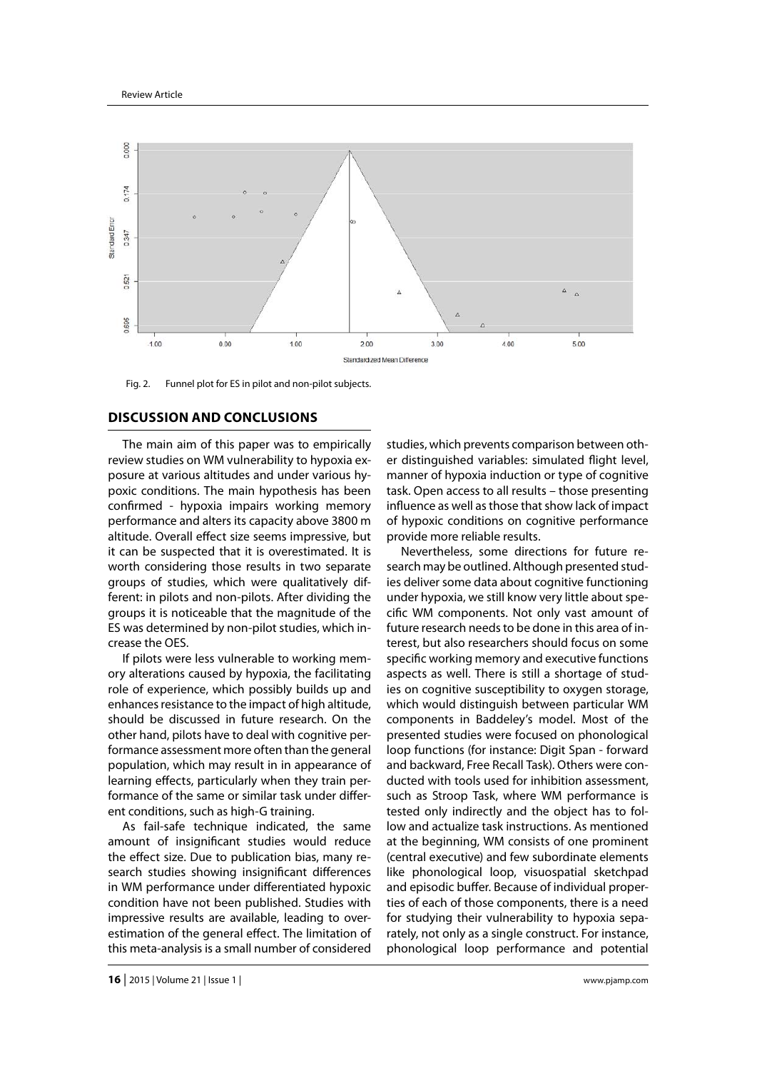

Fig. 2. Funnel plot for ES in pilot and non-pilot subjects.

## **DISCUSSION AND CONCLUSIONS**

The main aim of this paper was to empirically review studies on WM vulnerability to hypoxia exposure at various altitudes and under various hypoxic conditions. The main hypothesis has been confirmed - hypoxia impairs working memory performance and alters its capacity above 3800 m altitude. Overall effect size seems impressive, but it can be suspected that it is overestimated. It is worth considering those results in two separate groups of studies, which were qualitatively different: in pilots and non-pilots. After dividing the groups it is noticeable that the magnitude of the ES was determined by non-pilot studies, which increase the OES.

If pilots were less vulnerable to working memory alterations caused by hypoxia, the facilitating role of experience, which possibly builds up and enhances resistance to the impact of high altitude, should be discussed in future research. On the other hand, pilots have to deal with cognitive performance assessment more often than the general population, which may result in in appearance of learning effects, particularly when they train performance of the same or similar task under different conditions, such as high-G training.

As fail-safe technique indicated, the same amount of insignificant studies would reduce the effect size. Due to publication bias, many research studies showing insignificant differences in WM performance under differentiated hypoxic condition have not been published. Studies with impressive results are available, leading to overestimation of the general effect. The limitation of this meta-analysis is a small number of considered

studies, which prevents comparison between other distinguished variables: simulated flight level, manner of hypoxia induction or type of cognitive task. Open access to all results – those presenting influence as well as those that show lack of impact of hypoxic conditions on cognitive performance provide more reliable results.

Nevertheless, some directions for future research may be outlined. Although presented studies deliver some data about cognitive functioning under hypoxia, we still know very little about specific WM components. Not only vast amount of future research needs to be done in this area of interest, but also researchers should focus on some specific working memory and executive functions aspects as well. There is still a shortage of studies on cognitive susceptibility to oxygen storage, which would distinguish between particular WM components in Baddeley's model. Most of the presented studies were focused on phonological loop functions (for instance: Digit Span - forward and backward, Free Recall Task). Others were conducted with tools used for inhibition assessment, such as Stroop Task, where WM performance is tested only indirectly and the object has to follow and actualize task instructions. As mentioned at the beginning, WM consists of one prominent (central executive) and few subordinate elements like phonological loop, visuospatial sketchpad and episodic buffer. Because of individual properties of each of those components, there is a need for studying their vulnerability to hypoxia separately, not only as a single construct. For instance, phonological loop performance and potential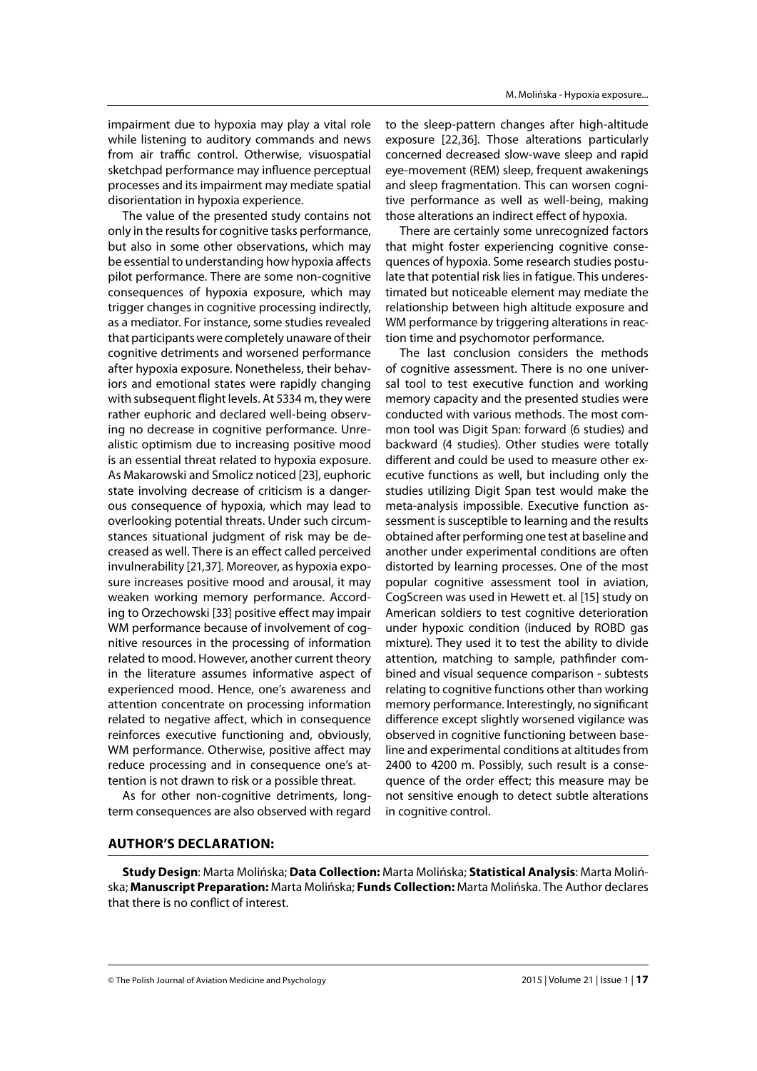impairment due to hypoxia may play a vital role while listening to auditory commands and news from air traffic control. Otherwise, visuospatial sketchpad performance may influence perceptual processes and its impairment may mediate spatial disorientation in hypoxia experience.

The value of the presented study contains not only in the results for cognitive tasks performance, but also in some other observations, which may be essential to understanding how hypoxia affects pilot performance. There are some non-cognitive consequences of hypoxia exposure, which may trigger changes in cognitive processing indirectly, as a mediator. For instance, some studies revealed that participants were completely unaware of their cognitive detriments and worsened performance after hypoxia exposure. Nonetheless, their behaviors and emotional states were rapidly changing with subsequent flight levels. At 5334 m, they were rather euphoric and declared well-being observing no decrease in cognitive performance. Unrealistic optimism due to increasing positive mood is an essential threat related to hypoxia exposure. As Makarowski and Smolicz noticed [23], euphoric state involving decrease of criticism is a dangerous consequence of hypoxia, which may lead to overlooking potential threats. Under such circumstances situational judgment of risk may be decreased as well. There is an effect called perceived invulnerability [21,37]*.* Moreover, as hypoxia exposure increases positive mood and arousal, it may weaken working memory performance. According to Orzechowski [33] positive effect may impair WM performance because of involvement of cognitive resources in the processing of information related to mood. However, another current theory in the literature assumes informative aspect of experienced mood. Hence, one's awareness and attention concentrate on processing information related to negative affect, which in consequence reinforces executive functioning and, obviously, WM performance. Otherwise, positive affect may reduce processing and in consequence one's attention is not drawn to risk or a possible threat.

As for other non-cognitive detriments, longterm consequences are also observed with regard

to the sleep-pattern changes after high-altitude exposure [22,36]. Those alterations particularly concerned decreased slow-wave sleep and rapid eye-movement (REM) sleep, frequent awakenings and sleep fragmentation. This can worsen cognitive performance as well as well-being, making those alterations an indirect effect of hypoxia.

There are certainly some unrecognized factors that might foster experiencing cognitive consequences of hypoxia. Some research studies postulate that potential risk lies in fatigue. This underestimated but noticeable element may mediate the relationship between high altitude exposure and WM performance by triggering alterations in reaction time and psychomotor performance.

The last conclusion considers the methods of cognitive assessment. There is no one universal tool to test executive function and working memory capacity and the presented studies were conducted with various methods. The most common tool was Digit Span: forward (6 studies) and backward (4 studies). Other studies were totally different and could be used to measure other executive functions as well, but including only the studies utilizing Digit Span test would make the meta-analysis impossible. Executive function assessment is susceptible to learning and the results obtained after performing one test at baseline and another under experimental conditions are often distorted by learning processes. One of the most popular cognitive assessment tool in aviation, CogScreen was used in Hewett et. al [15] study on American soldiers to test cognitive deterioration under hypoxic condition (induced by ROBD gas mixture). They used it to test the ability to divide attention, matching to sample, pathfinder combined and visual sequence comparison - subtests relating to cognitive functions other than working memory performance. Interestingly, no significant difference except slightly worsened vigilance was observed in cognitive functioning between baseline and experimental conditions at altitudes from 2400 to 4200 m. Possibly, such result is a consequence of the order effect; this measure may be not sensitive enough to detect subtle alterations in cognitive control.

# **AUTHOR'S DECLARATION:**

**Study Design**: Marta Molińska; **Data Collection:** Marta Molińska; **Statistical Analysis**: Marta Molińska; **Manuscript Preparation:** Marta Molińska; **Funds Collection:** Marta Molińska. The Author declares that there is no conflict of interest.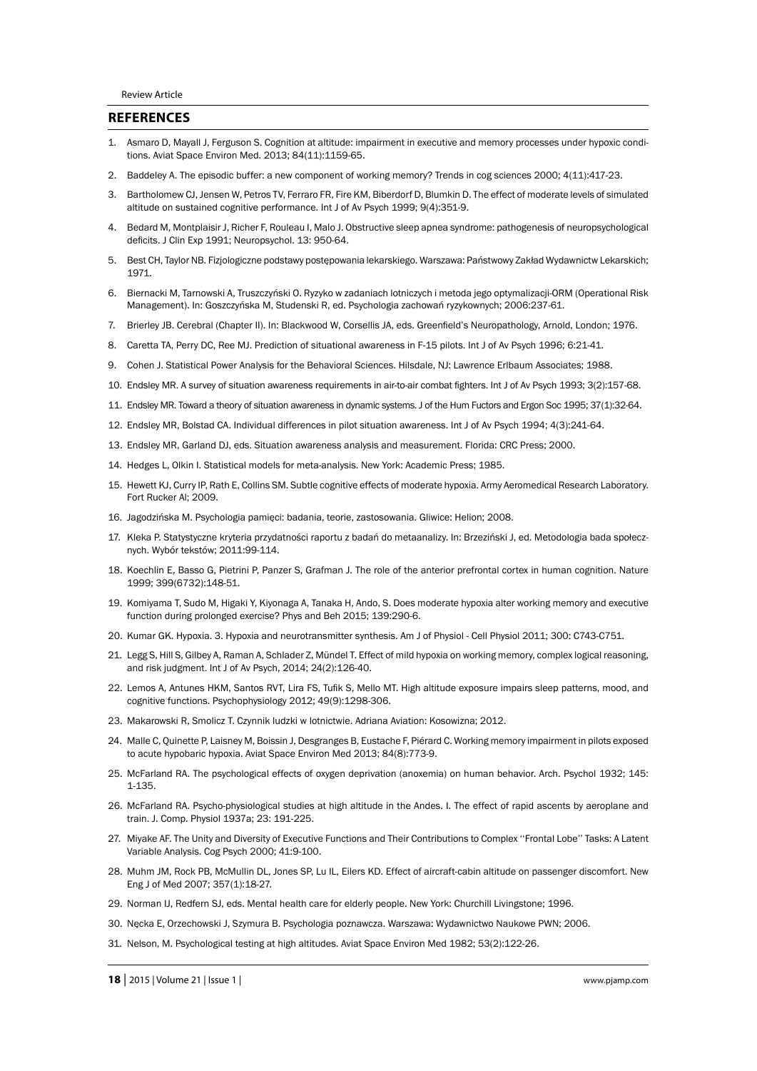### **REFERENCES**

- 1. Asmaro D, Mayall J, Ferguson S. Cognition at altitude: impairment in executive and memory processes under hypoxic conditions. Aviat Space Environ Med. 2013; 84(11):1159-65.
- 2. Baddeley A. The episodic buffer: a new component of working memory? Trends in cog sciences 2000; 4(11):417-23.
- 3. Bartholomew CJ, Jensen W, Petros TV, Ferraro FR, Fire KM, Biberdorf D, Blumkin D. The effect of moderate levels of simulated altitude on sustained cognitive performance. Int J of Av Psych 1999; 9(4):351-9.
- 4. Bedard M, Montplaisir J, Richer F, Rouleau I, Malo J. Obstructive sleep apnea syndrome: pathogenesis of neuropsychological deficits. J Clin Exp 1991; Neuropsychol. 13: 950-64.
- 5. Best CH, Taylor NB. Fizjologiczne podstawy postępowania lekarskiego. Warszawa: Państwowy Zakład Wydawnictw Lekarskich; 1971.
- 6. Biernacki M, Tarnowski A, Truszczyński O. Ryzyko w zadaniach lotniczych i metoda jego optymalizacji-ORM (Operational Risk Management). In: Goszczyńska M, Studenski R, ed. Psychologia zachowań ryzykownych; 2006:237-61.
- 7. Brierley JB. Cerebral (Chapter II). In: Blackwood W, Corsellis JA, eds. Greenfield's Neuropathology, Arnold, London; 1976.
- 8. Caretta TA, Perry DC, Ree MJ. Prediction of situational awareness in F-15 pilots. Int J of Av Psych 1996; 6:21-41.
- 9. Cohen J. Statistical Power Analysis for the Behavioral Sciences. Hilsdale, NJ: Lawrence Erlbaum Associates; 1988.
- 10. Endsley MR. A survey of situation awareness requirements in air-to-air combat fighters. Int J of Av Psych 1993; 3(2):157-68.
- 11. Endsley MR. Toward a theory of situation awareness in dynamic systems. J of the Hum Fuctors and Ergon Soc 1995; 37(1):32-64.
- 12. Endsley MR, Bolstad CA. Individual differences in pilot situation awareness. Int J of Av Psych 1994; 4(3):241-64.
- 13. Endsley MR, Garland DJ, eds. Situation awareness analysis and measurement. Florida: CRC Press; 2000.
- 14. Hedges L, Olkin I. Statistical models for meta-analysis. New York: Academic Press; 1985.
- 15. Hewett KJ, Curry IP, Rath E, Collins SM. Subtle cognitive effects of moderate hypoxia. Army Aeromedical Research Laboratory. Fort Rucker Al; 2009.
- 16. Jagodzińska M. Psychologia pamięci: badania, teorie, zastosowania. Gliwice: Helion; 2008.
- 17. Kleka P. Statystyczne kryteria przydatności raportu z badań do metaanalizy. In: Brzeziński J, ed. Metodologia bada społecznych. Wybór tekstów; 2011:99-114.
- 18. Koechlin E, Basso G, Pietrini P, Panzer S, Grafman J. The role of the anterior prefrontal cortex in human cognition. Nature 1999; 399(6732):148-51.
- 19. Komiyama T, Sudo M, Higaki Y, Kiyonaga A, Tanaka H, Ando, S. Does moderate hypoxia alter working memory and executive function during prolonged exercise? Phys and Beh 2015; 139:290-6.
- 20. Kumar GK. Hypoxia. 3. Hypoxia and neurotransmitter synthesis. Am J of Physiol Cell Physiol 2011; 300: C743-C751.
- 21. Legg S, Hill S, Gilbey A, Raman A, Schlader Z, Mündel T. Effect of mild hypoxia on working memory, complex logical reasoning, and risk judgment. Int J of Av Psych, 2014; 24(2):126-40.
- 22. Lemos A, Antunes HKM, Santos RVT, Lira FS, Tufik S, Mello MT. High altitude exposure impairs sleep patterns, mood, and cognitive functions. Psychophysiology 2012; 49(9):1298-306.
- 23. Makarowski R, Smolicz T. Czynnik ludzki w lotnictwie. Adriana Aviation: Kosowizna; 2012.
- 24. Malle C, Quinette P, Laisney M, Boissin J, Desgranges B, Eustache F, Piérard C. Working memory impairment in pilots exposed to acute hypobaric hypoxia. Aviat Space Environ Med 2013; 84(8):773-9.
- 25. McFarland RA. The psychological effects of oxygen deprivation (anoxemia) on human behavior. Arch. Psychol 1932; 145: 1-135.
- 26. McFarland RA. Psycho-physiological studies at high altitude in the Andes. I. The effect of rapid ascents by aeroplane and train. J. Comp. Physiol 1937a; 23: 191-225.
- 27. Miyake AF. The Unity and Diversity of Executive Functions and Their Contributions to Complex ''Frontal Lobe'' Tasks: A Latent Variable Analysis. Cog Psych 2000; 41:9-100.
- 28. Muhm JM, Rock PB, McMullin DL, Jones SP, Lu IL, Eilers KD. Effect of aircraft-cabin altitude on passenger discomfort. New Eng J of Med 2007; 357(1):18-27.
- 29. Norman IJ, Redfern SJ, eds. Mental health care for elderly people. New York: Churchill Livingstone; 1996.
- 30. Nęcka E, Orzechowski J, Szymura B. Psychologia poznawcza. Warszawa: Wydawnictwo Naukowe PWN; 2006.
- 31. Nelson, M. Psychological testing at high altitudes. Aviat Space Environ Med 1982; 53(2):122-26.